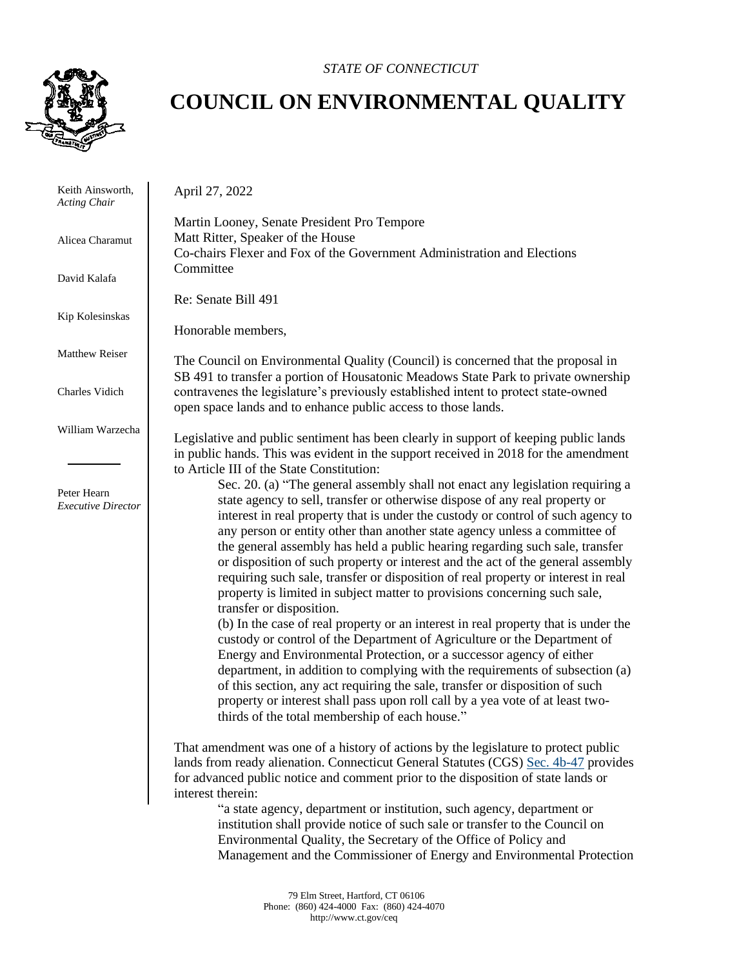

*STATE OF CONNECTICUT*

## **COUNCIL ON ENVIRONMENTAL QUALITY**

 Keith Ainsworth, *Acting Chair*

Alicea Charamut

David Kalafa

Matthew Reiser

Charles Vidich

William Warzecha

 Peter Hearn *Executive Director*

 Kip Kolesinskas Martin Looney, Senate President Pro Tempore Matt Ritter, Speaker of the House Co-chairs Flexer and Fox of the Government Administration and Elections **Committee** Re: Senate Bill 491

Honorable members,

April 27, 2022

The Council on Environmental Quality (Council) is concerned that the proposal in SB 491 to transfer a portion of Housatonic Meadows State Park to private ownership contravenes the legislature's previously established intent to protect state-owned open space lands and to enhance public access to those lands.

Legislative and public sentiment has been clearly in support of keeping public lands in public hands. This was evident in the support received in 2018 for the amendment to Article III of the State Constitution:

Sec. 20. (a) "The general assembly shall not enact any legislation requiring a state agency to sell, transfer or otherwise dispose of any real property or interest in real property that is under the custody or control of such agency to any person or entity other than another state agency unless a committee of the general assembly has held a public hearing regarding such sale, transfer or disposition of such property or interest and the act of the general assembly requiring such sale, transfer or disposition of real property or interest in real property is limited in subject matter to provisions concerning such sale, transfer or disposition.

(b) In the case of real property or an interest in real property that is under the custody or control of the Department of Agriculture or the Department of Energy and Environmental Protection, or a successor agency of either department, in addition to complying with the requirements of subsection (a) of this section, any act requiring the sale, transfer or disposition of such property or interest shall pass upon roll call by a yea vote of at least twothirds of the total membership of each house."

That amendment was one of a history of actions by the legislature to protect public lands from ready alienation. Connecticut General Statutes (CGS) [Sec. 4b-47](https://www.cga.ct.gov/current/pub/chap_059.htm#sec_4b-47) provides for advanced public notice and comment prior to the disposition of state lands or interest therein:

"a state agency, department or institution, such agency, department or institution shall provide notice of such sale or transfer to the Council on Environmental Quality, the Secretary of the Office of Policy and Management and the Commissioner of Energy and Environmental Protection